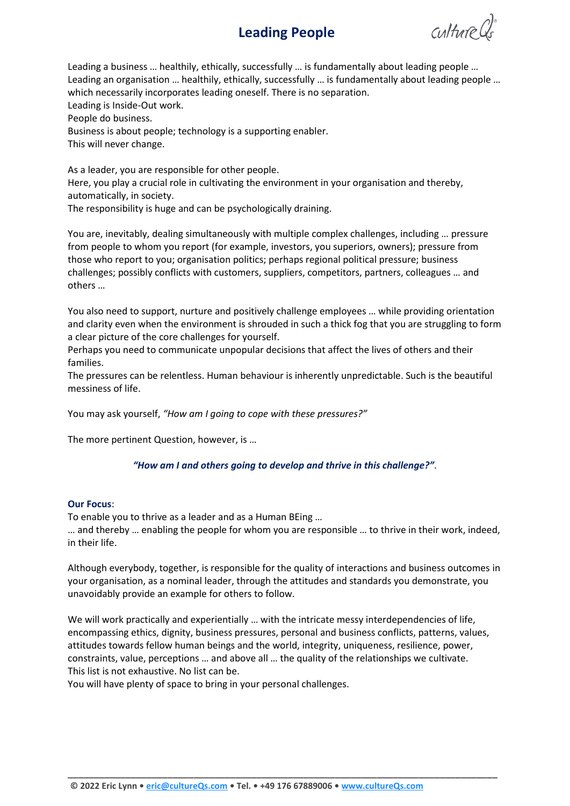# **Leading People**

 $cultureds$ 

Leading a business … healthily, ethically, successfully … is fundamentally about leading people … Leading an organisation … healthily, ethically, successfully … is fundamentally about leading people … which necessarily incorporates leading oneself. There is no separation. Leading is Inside-Out work. People do business. Business is about people; technology is a supporting enabler. This will never change.

As a leader, you are responsible for other people. Here, you play a crucial role in cultivating the environment in your organisation and thereby, automatically, in society. The responsibility is huge and can be psychologically draining.

You are, inevitably, dealing simultaneously with multiple complex challenges, including … pressure from people to whom you report (for example, investors, you superiors, owners); pressure from those who report to you; organisation politics; perhaps regional political pressure; business challenges; possibly conflicts with customers, suppliers, competitors, partners, colleagues … and others …

You also need to support, nurture and positively challenge employees … while providing orientation and clarity even when the environment is shrouded in such a thick fog that you are struggling to form a clear picture of the core challenges for yourself.

Perhaps you need to communicate unpopular decisions that affect the lives of others and their families.

The pressures can be relentless. Human behaviour is inherently unpredictable. Such is the beautiful messiness of life.

You may ask yourself, *"How am I going to cope with these pressures?"*

The more pertinent Question, however, is …

## *"How am I and others going to develop and thrive in this challenge?"*.

#### **Our Focus**:

To enable you to thrive as a leader and as a Human BEing …

… and thereby … enabling the people for whom you are responsible … to thrive in their work, indeed, in their life.

Although everybody, together, is responsible for the quality of interactions and business outcomes in your organisation, as a nominal leader, through the attitudes and standards you demonstrate, you unavoidably provide an example for others to follow.

We will work practically and experientially ... with the intricate messy interdependencies of life, encompassing ethics, dignity, business pressures, personal and business conflicts, patterns, values, attitudes towards fellow human beings and the world, integrity, uniqueness, resilience, power, constraints, value, perceptions … and above all … the quality of the relationships we cultivate. This list is not exhaustive. No list can be.

**\_\_\_\_\_\_\_\_\_\_\_\_\_\_\_\_\_\_\_\_\_\_\_\_\_\_\_\_\_\_\_\_\_\_\_\_\_\_\_\_\_\_\_\_\_\_\_\_\_\_\_\_\_\_\_\_\_\_\_\_\_\_\_\_\_\_\_\_\_\_\_\_\_\_\_\_\_\_\_\_\_\_**

You will have plenty of space to bring in your personal challenges.